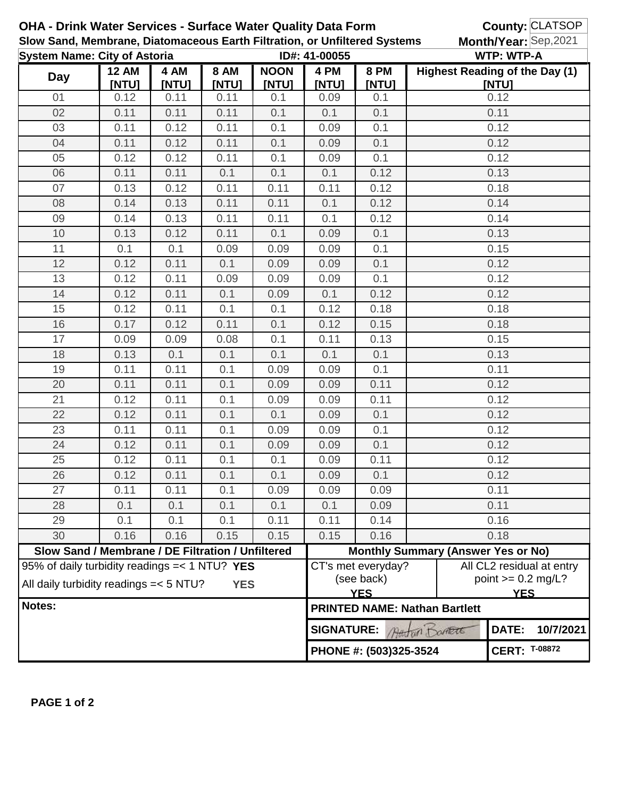| OHA - Drink Water Services - Surface Water Quality Data Form                                            |                                                   |               |                      |                             |                        |                                                                                                                   |                   | <b>County: CLATSOP</b>                         |  |
|---------------------------------------------------------------------------------------------------------|---------------------------------------------------|---------------|----------------------|-----------------------------|------------------------|-------------------------------------------------------------------------------------------------------------------|-------------------|------------------------------------------------|--|
| Slow Sand, Membrane, Diatomaceous Earth Filtration, or Unfiltered Systems                               |                                                   |               |                      |                             |                        |                                                                                                                   |                   | Month/Year: Sep,2021                           |  |
| <b>System Name: City of Astoria</b>                                                                     |                                                   |               |                      | ID#: 41-00055               |                        |                                                                                                                   | <b>WTP: WTP-A</b> |                                                |  |
| <b>Day</b>                                                                                              | <b>12 AM</b><br>[NTU]                             | 4 AM<br>[NTU] | <b>8 AM</b><br>[NTU] | <b>NOON</b><br><b>[NTU]</b> | 4 PM<br><b>[NTU]</b>   | <b>8 PM</b><br>[NTU]                                                                                              |                   | <b>Highest Reading of the Day (1)</b><br>[NTU] |  |
| 01                                                                                                      | 0.12                                              | 0.11          | 0.11                 | 0.1                         | 0.09                   | 0.1                                                                                                               |                   | 0.12                                           |  |
| 02                                                                                                      | 0.11                                              | 0.11          | 0.11                 | 0.1                         | 0.1                    | 0.1                                                                                                               |                   | 0.11                                           |  |
| 03                                                                                                      | 0.11                                              | 0.12          | 0.11                 | 0.1                         | 0.09                   | 0.1                                                                                                               |                   | 0.12                                           |  |
| 04                                                                                                      | 0.11                                              | 0.12          | 0.11                 | 0.1                         | 0.09                   | 0.1                                                                                                               | 0.12              |                                                |  |
| 05                                                                                                      | 0.12                                              | 0.12          | 0.11                 | 0.1                         | 0.09                   | 0.1                                                                                                               | 0.12              |                                                |  |
| 06                                                                                                      | 0.11                                              | 0.11          | 0.1                  | 0.1                         | 0.1                    | 0.12                                                                                                              | 0.13              |                                                |  |
| 07                                                                                                      | 0.13                                              | 0.12          | 0.11                 | 0.11                        | 0.11                   | 0.12                                                                                                              | 0.18              |                                                |  |
| 08                                                                                                      | 0.14                                              | 0.13          | 0.11                 | 0.11                        | 0.1                    | 0.12                                                                                                              | 0.14              |                                                |  |
| 09                                                                                                      | 0.14                                              | 0.13          | 0.11                 | 0.11                        | 0.1                    | 0.12                                                                                                              | 0.14              |                                                |  |
| 10                                                                                                      | 0.13                                              | 0.12          | 0.11                 | 0.1                         | 0.09                   | 0.1                                                                                                               | 0.13              |                                                |  |
| 11                                                                                                      | 0.1                                               | 0.1           | 0.09                 | 0.09                        | 0.09                   | 0.1                                                                                                               | 0.15              |                                                |  |
| 12                                                                                                      | 0.12                                              | 0.11          | 0.1                  | 0.09                        | 0.09                   | 0.1                                                                                                               | 0.12              |                                                |  |
| 13                                                                                                      | 0.12                                              | 0.11          | 0.09                 | 0.09                        | 0.09                   | 0.1                                                                                                               | 0.12              |                                                |  |
| 14                                                                                                      | 0.12                                              | 0.11          | 0.1                  | 0.09                        | 0.1                    | 0.12                                                                                                              |                   | 0.12                                           |  |
| 15                                                                                                      | 0.12                                              | 0.11          | 0.1                  | 0.1                         | 0.12                   | 0.18                                                                                                              | 0.18              |                                                |  |
| 16                                                                                                      | 0.17                                              | 0.12          | 0.11                 | 0.1                         | 0.12                   | 0.15                                                                                                              |                   | 0.18                                           |  |
| 17                                                                                                      | 0.09                                              | 0.09          | 0.08                 | 0.1                         | 0.11                   | 0.13                                                                                                              | 0.15              |                                                |  |
| 18                                                                                                      | 0.13                                              | 0.1           | 0.1                  | 0.1                         | 0.1                    | 0.1                                                                                                               | 0.13              |                                                |  |
| 19                                                                                                      | 0.11                                              | 0.11          | 0.1                  | 0.09                        | 0.09                   | 0.1                                                                                                               | 0.11              |                                                |  |
| 20                                                                                                      | 0.11                                              | 0.11          | 0.1                  | 0.09                        | 0.09                   | 0.11                                                                                                              | 0.12              |                                                |  |
| 21                                                                                                      | 0.12                                              | 0.11          | 0.1                  | 0.09                        | 0.09                   | 0.11                                                                                                              | 0.12              |                                                |  |
| 22                                                                                                      | 0.12                                              | 0.11          | 0.1                  | 0.1                         | 0.09                   | 0.1                                                                                                               | 0.12              |                                                |  |
| 23                                                                                                      | 0.11                                              | 0.11          | 0.1                  | 0.09                        | 0.09                   | 0.1                                                                                                               | 0.12              |                                                |  |
| 24                                                                                                      | 0.12                                              | 0.11          | 0.1                  | 0.09                        | 0.09                   | 0.1                                                                                                               | 0.12              |                                                |  |
| 25                                                                                                      | 0.12                                              | 0.11          | 0.1                  | 0.1                         | 0.09                   | 0.11                                                                                                              | 0.12              |                                                |  |
| 26                                                                                                      | 0.12                                              | 0.11          | 0.1                  | 0.1                         | 0.09                   | 0.1                                                                                                               | 0.12              |                                                |  |
| 27                                                                                                      | 0.11                                              | 0.11          | 0.1                  | 0.09                        | 0.09                   | 0.09                                                                                                              | 0.11              |                                                |  |
| 28                                                                                                      | 0.1                                               | 0.1           | 0.1                  | 0.1                         | 0.1                    | 0.09                                                                                                              | 0.11              |                                                |  |
| 29                                                                                                      | 0.1                                               | 0.1           | 0.1                  | 0.11                        | 0.11                   | 0.14                                                                                                              | 0.16              |                                                |  |
| 30                                                                                                      | 0.16                                              | 0.16          | 0.15                 | 0.15                        | 0.15                   | 0.16                                                                                                              | 0.18              |                                                |  |
|                                                                                                         | Slow Sand / Membrane / DE Filtration / Unfiltered |               |                      |                             |                        | <b>Monthly Summary (Answer Yes or No)</b>                                                                         |                   |                                                |  |
| 95% of daily turbidity readings = < 1 NTU? YES<br>All daily turbidity readings = < 5 NTU?<br><b>YES</b> |                                                   |               |                      |                             |                        | All CL2 residual at entry<br>CT's met everyday?<br>point $>= 0.2$ mg/L?<br>(see back)<br><b>YES</b><br><b>YES</b> |                   |                                                |  |
| Notes:                                                                                                  |                                                   |               |                      |                             |                        | <b>PRINTED NAME: Nathan Bartlett</b>                                                                              |                   |                                                |  |
|                                                                                                         |                                                   |               |                      |                             |                        | DATE:<br><b>SIGNATURE:</b><br>Attorn Domett                                                                       |                   |                                                |  |
|                                                                                                         |                                                   |               |                      |                             | PHONE #: (503)325-3524 |                                                                                                                   |                   | <b>CERT: T-08872</b>                           |  |